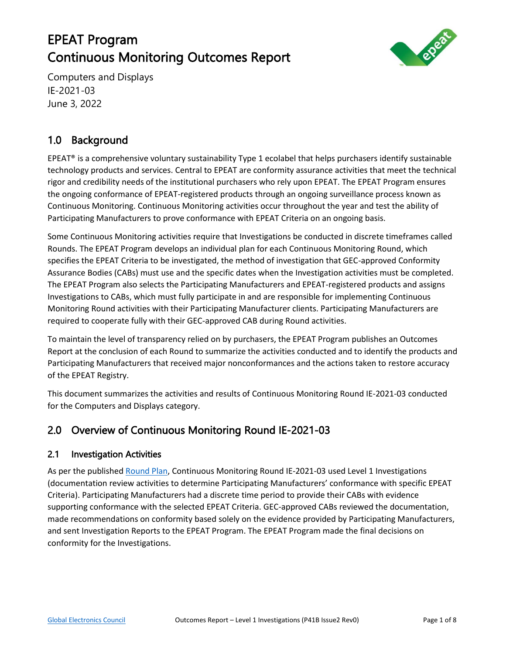# EPEAT Program Continuous Monitoring Outcomes Report



Computers and Displays IE-2021-03 June 3, 2022

# 1.0 Background

EPEAT® is a comprehensive voluntary sustainability Type 1 ecolabel that helps purchasers identify sustainable technology products and services. Central to EPEAT are conformity assurance activities that meet the technical rigor and credibility needs of the institutional purchasers who rely upon EPEAT. The EPEAT Program ensures the ongoing conformance of EPEAT-registered products through an ongoing surveillance process known as Continuous Monitoring. Continuous Monitoring activities occur throughout the year and test the ability of Participating Manufacturers to prove conformance with EPEAT Criteria on an ongoing basis.

Some Continuous Monitoring activities require that Investigations be conducted in discrete timeframes called Rounds. The EPEAT Program develops an individual plan for each Continuous Monitoring Round, which specifies the EPEAT Criteria to be investigated, the method of investigation that GEC-approved Conformity Assurance Bodies (CABs) must use and the specific dates when the Investigation activities must be completed. The EPEAT Program also selects the Participating Manufacturers and EPEAT-registered products and assigns Investigations to CABs, which must fully participate in and are responsible for implementing Continuous Monitoring Round activities with their Participating Manufacturer clients. Participating Manufacturers are required to cooperate fully with their GEC-approved CAB during Round activities.

To maintain the level of transparency relied on by purchasers, the EPEAT Program publishes an Outcomes Report at the conclusion of each Round to summarize the activities conducted and to identify the products and Participating Manufacturers that received major nonconformances and the actions taken to restore accuracy of the EPEAT Registry.

This document summarizes the activities and results of Continuous Monitoring Round IE-2021-03 conducted for the Computers and Displays category.

### 2.0 Overview of Continuous Monitoring Round IE-2021-03

### 2.1 Investigation Activities

As per the published [Round Plan,](https://globalelectronicscouncil.org/wp-content/uploads/Continuous-Monitoring-Round-Plan-IE-2021-03-FINAL.pdf) Continuous Monitoring Round IE-2021-03 used Level 1 Investigations (documentation review activities to determine Participating Manufacturers' conformance with specific EPEAT Criteria). Participating Manufacturers had a discrete time period to provide their CABs with evidence supporting conformance with the selected EPEAT Criteria. GEC-approved CABs reviewed the documentation, made recommendations on conformity based solely on the evidence provided by Participating Manufacturers, and sent Investigation Reports to the EPEAT Program. The EPEAT Program made the final decisions on conformity for the Investigations.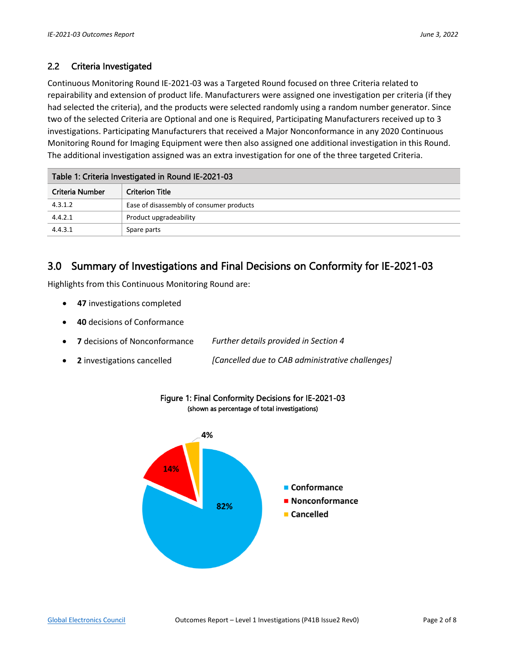### 2.2 Criteria Investigated

Continuous Monitoring Round IE-2021-03 was a Targeted Round focused on three Criteria related to repairability and extension of product life. Manufacturers were assigned one investigation per criteria (if they had selected the criteria), and the products were selected randomly using a random number generator. Since two of the selected Criteria are Optional and one is Required, Participating Manufacturers received up to 3 investigations. Participating Manufacturers that received a Major Nonconformance in any 2020 Continuous Monitoring Round for Imaging Equipment were then also assigned one additional investigation in this Round. The additional investigation assigned was an extra investigation for one of the three targeted Criteria.

| Table 1: Criteria Investigated in Round IE-2021-03 |                                          |  |  |  |  |
|----------------------------------------------------|------------------------------------------|--|--|--|--|
| Criteria Number                                    | <b>Criterion Title</b>                   |  |  |  |  |
| 4.3.1.2                                            | Ease of disassembly of consumer products |  |  |  |  |
| 4.4.2.1                                            | Product upgradeability                   |  |  |  |  |
| 4.4.3.1                                            | Spare parts                              |  |  |  |  |

### 3.0 Summary of Investigations and Final Decisions on Conformity for IE-2021-03

Highlights from this Continuous Monitoring Round are:

- **47** investigations completed
- **40** decisions of Conformance
- **7** decisions of Nonconformance *Further details provided in Section 4*
- **2** investigations cancelled *[Cancelled due to CAB administrative challenges]*



#### Figure 1: Final Conformity Decisions for IE-2021-03 (shown as percentage of total investigations)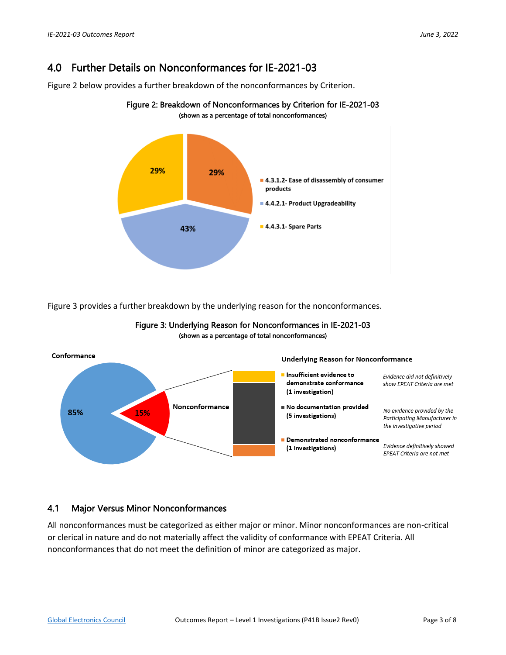## 4.0 Further Details on Nonconformances for IE-2021-03

Figure 2 below provides a further breakdown of the nonconformances by Criterion.



Figure 2: Breakdown of Nonconformances by Criterion for IE-2021-03

Figure 3 provides a further breakdown by the underlying reason for the nonconformances.



#### Figure 3: Underlying Reason for Nonconformances in IE-2021-03 (shown as a percentage of total nonconformances)

### 4.1 Major Versus Minor Nonconformances

All nonconformances must be categorized as either major or minor. Minor nonconformances are non-critical or clerical in nature and do not materially affect the validity of conformance with EPEAT Criteria. All nonconformances that do not meet the definition of minor are categorized as major.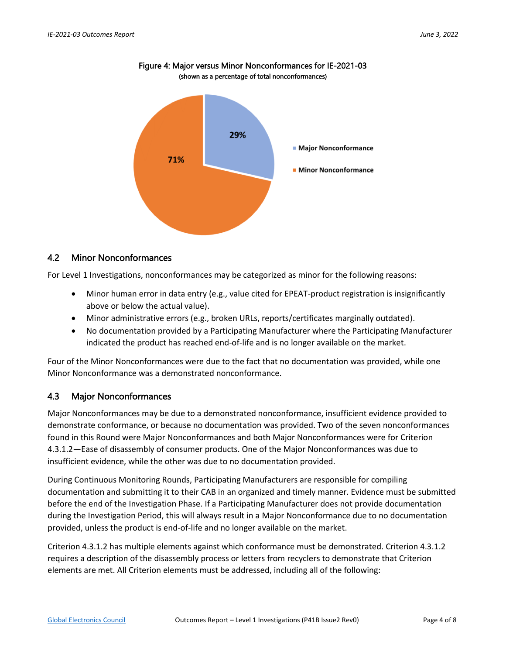

Figure 4: Major versus Minor Nonconformances for IE-2021-03 (shown as a percentage of total nonconformances)

#### 4.2 Minor Nonconformances

For Level 1 Investigations, nonconformances may be categorized as minor for the following reasons:

- Minor human error in data entry (e.g., value cited for EPEAT-product registration is insignificantly above or below the actual value).
- Minor administrative errors (e.g., broken URLs, reports/certificates marginally outdated).
- No documentation provided by a Participating Manufacturer where the Participating Manufacturer indicated the product has reached end-of-life and is no longer available on the market.

Four of the Minor Nonconformances were due to the fact that no documentation was provided, while one Minor Nonconformance was a demonstrated nonconformance.

#### 4.3 Major Nonconformances

Major Nonconformances may be due to a demonstrated nonconformance, insufficient evidence provided to demonstrate conformance, or because no documentation was provided. Two of the seven nonconformances found in this Round were Major Nonconformances and both Major Nonconformances were for Criterion 4.3.1.2—Ease of disassembly of consumer products. One of the Major Nonconformances was due to insufficient evidence, while the other was due to no documentation provided.

During Continuous Monitoring Rounds, Participating Manufacturers are responsible for compiling documentation and submitting it to their CAB in an organized and timely manner. Evidence must be submitted before the end of the Investigation Phase. If a Participating Manufacturer does not provide documentation during the Investigation Period, this will always result in a Major Nonconformance due to no documentation provided, unless the product is end-of-life and no longer available on the market.

Criterion 4.3.1.2 has multiple elements against which conformance must be demonstrated. Criterion 4.3.1.2 requires a description of the disassembly process or letters from recyclers to demonstrate that Criterion elements are met. All Criterion elements must be addressed, including all of the following: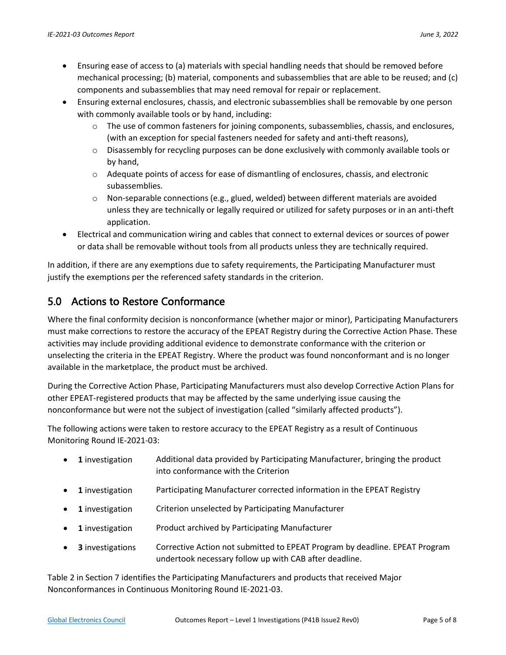- Ensuring ease of access to (a) materials with special handling needs that should be removed before mechanical processing; (b) material, components and subassemblies that are able to be reused; and (c) components and subassemblies that may need removal for repair or replacement.
- Ensuring external enclosures, chassis, and electronic subassemblies shall be removable by one person with commonly available tools or by hand, including:
	- o The use of common fasteners for joining components, subassemblies, chassis, and enclosures, (with an exception for special fasteners needed for safety and anti-theft reasons),
	- o Disassembly for recycling purposes can be done exclusively with commonly available tools or by hand,
	- o Adequate points of access for ease of dismantling of enclosures, chassis, and electronic subassemblies.
	- $\circ$  Non-separable connections (e.g., glued, welded) between different materials are avoided unless they are technically or legally required or utilized for safety purposes or in an anti-theft application.
- Electrical and communication wiring and cables that connect to external devices or sources of power or data shall be removable without tools from all products unless they are technically required.

In addition, if there are any exemptions due to safety requirements, the Participating Manufacturer must justify the exemptions per the referenced safety standards in the criterion.

# 5.0 Actions to Restore Conformance

Where the final conformity decision is nonconformance (whether major or minor), Participating Manufacturers must make corrections to restore the accuracy of the EPEAT Registry during the Corrective Action Phase. These activities may include providing additional evidence to demonstrate conformance with the criterion or unselecting the criteria in the EPEAT Registry. Where the product was found nonconformant and is no longer available in the marketplace, the product must be archived.

During the Corrective Action Phase, Participating Manufacturers must also develop Corrective Action Plans for other EPEAT-registered products that may be affected by the same underlying issue causing the nonconformance but were not the subject of investigation (called "similarly affected products").

The following actions were taken to restore accuracy to the EPEAT Registry as a result of Continuous Monitoring Round IE-2021-03:

- **1** investigation Additional data provided by Participating Manufacturer, bringing the product into conformance with the Criterion
- **1** investigation Participating Manufacturer corrected information in the EPEAT Registry
- **1** investigation Criterion unselected by Participating Manufacturer
- **1** investigation Product archived by Participating Manufacturer
- **3** investigations Corrective Action not submitted to EPEAT Program by deadline. EPEAT Program undertook necessary follow up with CAB after deadline.

Table 2 in Section 7 identifies the Participating Manufacturers and products that received Major Nonconformances in Continuous Monitoring Round IE-2021-03.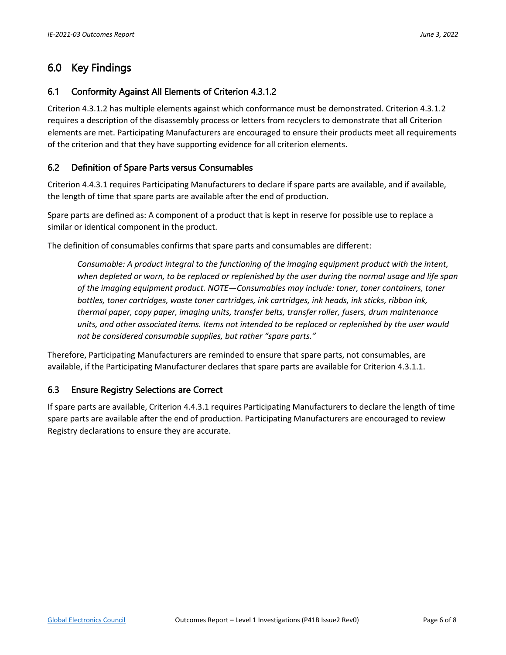### 6.0 Key Findings

#### 6.1 Conformity Against All Elements of Criterion 4.3.1.2

Criterion 4.3.1.2 has multiple elements against which conformance must be demonstrated. Criterion 4.3.1.2 requires a description of the disassembly process or letters from recyclers to demonstrate that all Criterion elements are met. Participating Manufacturers are encouraged to ensure their products meet all requirements of the criterion and that they have supporting evidence for all criterion elements.

#### 6.2 Definition of Spare Parts versus Consumables

Criterion 4.4.3.1 requires Participating Manufacturers to declare if spare parts are available, and if available, the length of time that spare parts are available after the end of production.

Spare parts are defined as: A component of a product that is kept in reserve for possible use to replace a similar or identical component in the product.

The definition of consumables confirms that spare parts and consumables are different:

*Consumable: A product integral to the functioning of the imaging equipment product with the intent, when depleted or worn, to be replaced or replenished by the user during the normal usage and life span of the imaging equipment product. NOTE—Consumables may include: toner, toner containers, toner bottles, toner cartridges, waste toner cartridges, ink cartridges, ink heads, ink sticks, ribbon ink, thermal paper, copy paper, imaging units, transfer belts, transfer roller, fusers, drum maintenance units, and other associated items. Items not intended to be replaced or replenished by the user would not be considered consumable supplies, but rather "spare parts."*

Therefore, Participating Manufacturers are reminded to ensure that spare parts, not consumables, are available, if the Participating Manufacturer declares that spare parts are available for Criterion 4.3.1.1.

#### 6.3 Ensure Registry Selections are Correct

If spare parts are available, Criterion 4.4.3.1 requires Participating Manufacturers to declare the length of time spare parts are available after the end of production. Participating Manufacturers are encouraged to review Registry declarations to ensure they are accurate.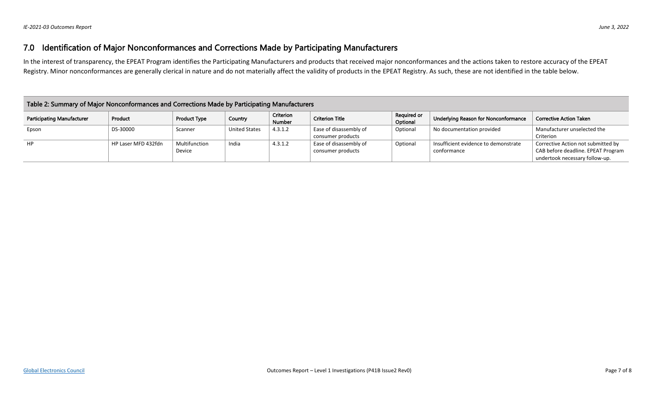# 7.0 Identification of Major Nonconformances and Corrections Made by Participating Manufacturers

In the interest of transparency, the EPEAT Program identifies the Participating Manufacturers and products that received major nonconformances and the actions taken to restore accuracy of the EPEAT Registry. Minor nonconformances are generally clerical in nature and do not materially affect the validity of products in the EPEAT Registry. As such, these are not identified in the table below.

| Table 2: Summary of Major Nonconformances and Corrections Made by Participating Manufacturers |                     |                         |                      |                     |                                             |                         |                                                     |                                                                                                            |  |  |
|-----------------------------------------------------------------------------------------------|---------------------|-------------------------|----------------------|---------------------|---------------------------------------------|-------------------------|-----------------------------------------------------|------------------------------------------------------------------------------------------------------------|--|--|
| <b>Participating Manufacturer</b>                                                             | Product             | <b>Product Type</b>     | Country              | Criterion<br>Number | <b>Criterion Title</b>                      | Required or<br>Optional | Underlying Reason for Nonconformance                | <b>Corrective Action Taken</b>                                                                             |  |  |
| Epson                                                                                         | DS-30000            | Scanner                 | <b>United States</b> | 4.3.1.2             | Ease of disassembly of<br>consumer products | Optional                | No documentation provided                           | Manufacturer unselected the<br>Criterion                                                                   |  |  |
| HP                                                                                            | HP Laser MFD 432fdn | Multifunction<br>Device | India                | 4.3.1.2             | Ease of disassembly of<br>consumer products | Optional                | Insufficient evidence to demonstrate<br>conformance | Corrective Action not submitted by<br>CAB before deadline. EPEAT Program<br>undertook necessary follow-up. |  |  |